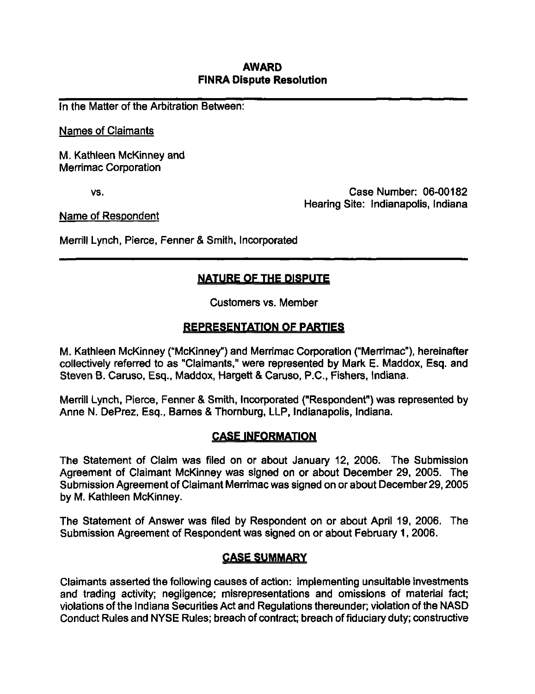## AWARD FINRA Dispute Resolution

In the Matter of the Arbitration Between:

Names of Claimants

M. Kathleen McKinney and Merrimac Corporation

vs. Case Number: 06-00182 Hearing Site: Indianapolis, Indiana

Name of Respondent

Merrill Lynch, Pierce, Fenner & Smith, Incorporated

# NATURE OF THE DISPUTE

Customers vs. Member

## REPRESENTATION OF PARTIES

M. Kathleen McKinney ("McKinney") and Merrimac Corporation ("Merrimac"), hereinafter collectively referred to as "Claimants," were represented by Mark E. Maddox, Esq. and Steven B. Caruso, Esq., Maddox, Hargett & Caruso, P.C, Fishers, Indiana.

Merrill Lynch, Pierce, Fenner & Smith, Incorporated ("Respondent") was represented by Anne N. DePrez, Esq., Barnes & Thornburg, LLP, Indianapolis, Indiana.

### CASE INFORMATION

The Statement of Claim was filed on or about January 12, 2006. The Submission Agreement of Claimant McKinney was signed on or about December 29, 2005. The Submission Agreement of Claimant Merrimac was signed on or about December 29,2005 by M. Kathleen McKinney.

The Statement of Answer was filed by Respondent on or about April 19, 2006. The Submission Agreement of Respondent was signed on or about February 1, 2006.

### CASE SUMMARY

Claimants asserted the following causes of action: implementing unsuitable investments and trading activity; negligence; misrepresentations and omissions of material fact; violations of the Indiana Securities Act and Regulations thereunder; violation of the NASD Conduct Rules and NYSE Rules; breach of contract; breach of fiduciary duty; constructive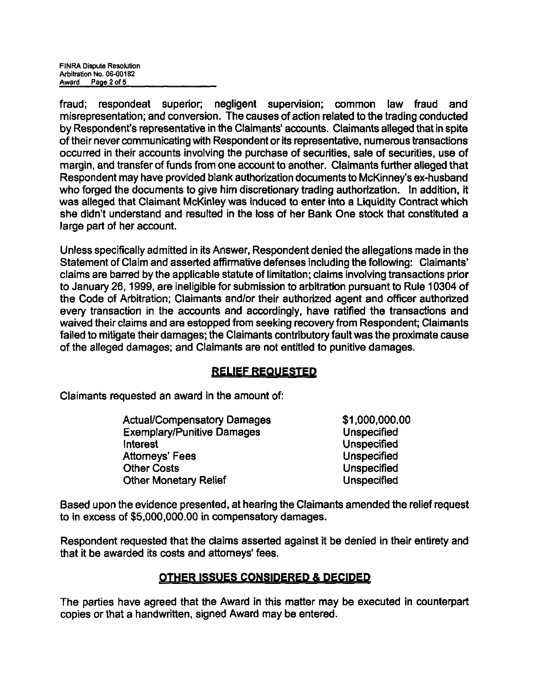fraud; respondeat superior; negligent supervision; common law fraud and misrepresentation; and conversion. The causes of action related to the trading conducted by Respondent's representative in the Claimants' accounts. Claimants alleged that in spite of their never communicating with Respondent or its representative, numerous transactions occurred in their accounts involving the purchase of securities, sale of securities, use of margin, and transfer of funds from one account to another. Claimants further alleged that Respondent may have provided blank authorization documents to McKinney's ex-husband who forged the documents to give him discretionary trading authorization. In addition, it was alleged that Claimant McKinley was induced to enter into a Liquidity Contract which she didn't understand and resulted in the loss of her Bank One stock that constituted a large part of her account.

Unless specifically admitted in its Answer, Respondent denied the allegations made in the Statement of Claim and asserted affirmative defenses including the following: Claimants' claims are barred by the applicable statute of limitation; claims involving transactions prior to January 26,1999, are ineligible for submission to arbitration pursuant to Rule 10304 of the Code of Arbitration; Claimants and/or their authorized agent and officer authorized every transaction in the accounts and accordingly, have ratified the transactions and waived their claims and are estopped from seeking recovery from Respondent; Claimants failed to mitigate their damages; the Claimants contributory fault was the proximate cause of the alleged damages; and Claimants are not entitled to punitive damages.

## RELIEF REQUESTED

Claimants requested an award in the amount of:

| <b>Actual/Compensatory Damages</b> | \$1,000,000.00     |
|------------------------------------|--------------------|
| <b>Exemplary/Punitive Damages</b>  | <b>Unspecified</b> |
| Interest                           | <b>Unspecified</b> |
| Attorneys' Fees                    | <b>Unspecified</b> |
| <b>Other Costs</b>                 | <b>Unspecified</b> |
| <b>Other Monetary Relief</b>       | <b>Unspecified</b> |
|                                    |                    |

Based upon the evidence presented, at hearing the Claimants amended the relief request to in excess of \$5,000,000.00 in compensatory damages.

Respondent requested that the claims asserted against it be denied in their entirety and that it be awarded its costs and attorneys' fees.

## OTHER ISSUES CONSIDERED & DECIDED

The parties have agreed that the Award in this matter may be executed in counterpart copies or that a handwritten, signed Award may be entered.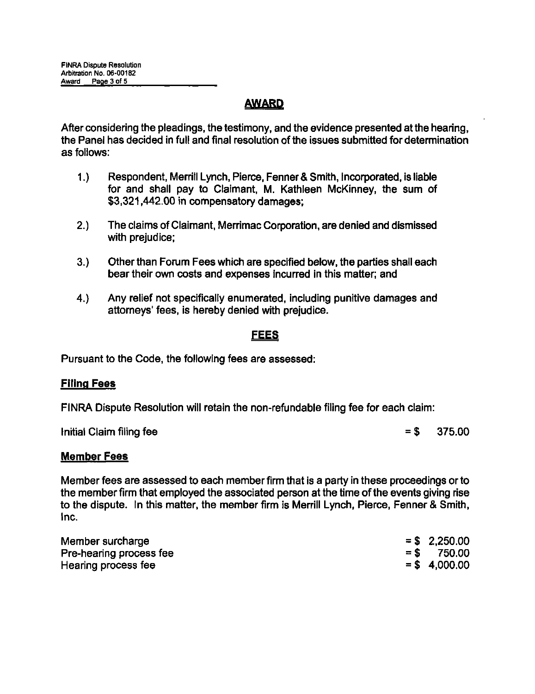# AWARD

After considering the pleadings, the testimony, and the evidence presented at the hearing, the Panel has decided in full and final resolution of the issues submitted for determination as follows:

- 1.) Respondent, Merrill Lynch, Pierce, Fenner & Smith, Incorporated, is liable for and shall pay to Claimant, M. Kathleen McKinney, the sum of \$3,321,442.00 in compensatory damages;
- 2.) The claims of Claimant, Merrimac Corporation, are denied and dismissed with prejudice;
- 3.) Other than Forum Fees which are specified below, the parties shall each bear their own costs and expenses incurred in this matter; and
- 4.) Any relief not specifically enumerated, including punitive damages and attorneys' fees, is hereby denied with prejudice.

## FEES

Pursuant to the Code, the following fees are assessed:

### Filing Fees

FINRA Dispute Resolution will retain the non-refundable filing fee for each claim:

Initial Claim filing fee  $= $$  375.00

#### Member Fees

Member fees are assessed to each member firm that is a party in these proceedings or to the member firm that employed the associated person at the time of the events giving rise to the dispute. In this matter, the member firm is Merrill Lynch, Pierce, Fenner & Smith, Inc.

| Member surcharge        | $=$ \$ 2,250.00 |
|-------------------------|-----------------|
| Pre-hearing process fee | $=$ \$ 750.00   |
| Hearing process fee     | $=$ \$4,000,00  |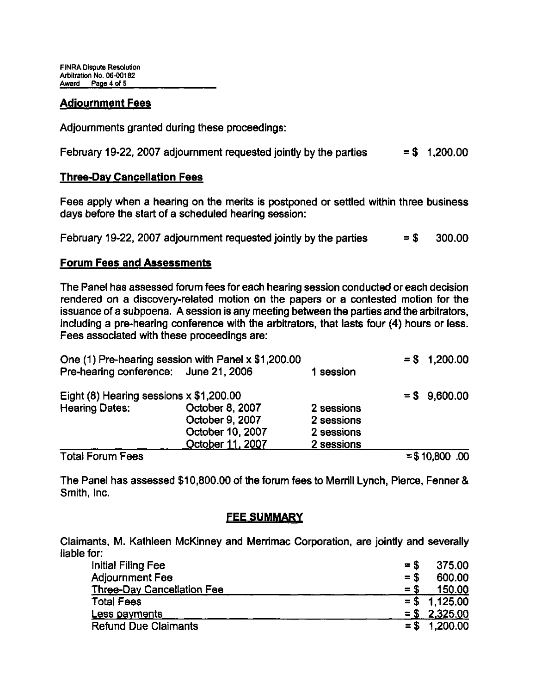## Adjournment Fees

Adjournments granted during these proceedings:

February 19-22, 2007 adjournment requested jointly by the parties  $= $ 1,200.00$ 

### Three-Dav Cancellation Fees

Fees apply when a hearing on the merits is postponed or settled within three business days before the start of a scheduled hearing session:

February 19-22, 2007 adjournment requested jointly by the parties  $= $ 300.00$ 

## Forum Fees and Assessments

The Panel has assessed forum fees for each hearing session conducted or each decision rendered on a discovery-related motion on the papers or a contested motion for the issuance of a subpoena. A session is any meeting between the parties and the arbitrators, including a pre-hearing conference with the arbitrators, that lasts four (4) hours or less. Fees associated with these proceedings are:

|                                         | One (1) Pre-hearing session with Panel x \$1,200.00 |            | $= $ 1,200.00$   |
|-----------------------------------------|-----------------------------------------------------|------------|------------------|
| Pre-hearing conference: June 21, 2006   |                                                     | 1 session  |                  |
| Eight (8) Hearing sessions x \$1,200.00 |                                                     |            | $=$ \$ 9,600.00  |
| <b>Hearing Dates:</b>                   | October 8, 2007                                     | 2 sessions |                  |
|                                         | October 9, 2007                                     | 2 sessions |                  |
|                                         | October 10, 2007                                    | 2 sessions |                  |
|                                         | October 11, 2007                                    | 2 sessions |                  |
| <b>Total Forum Fees</b>                 |                                                     |            | $=$ \$10,800 .00 |

The Panel has assessed \$10,800.00 of the forum fees to Merrill Lynch, Pierce, Fenner & Smith, Inc.

## **FEE SUMMARY**

Claimants, M. Kathleen McKinney and Merrimac Corporation, are jointly and severally liable for:

| <b>Initial Filing Fee</b>         | $=$ \$ | 375.00          |
|-----------------------------------|--------|-----------------|
| <b>Adjournment Fee</b>            | $=$ \$ | 600.00          |
| <b>Three-Day Cancellation Fee</b> | $=$ \$ | 150.00          |
| <b>Total Fees</b>                 |        | $=$ \$ 1.125,00 |
| <b>Less payments</b>              |        | $=$ \$ 2,325.00 |
| <b>Refund Due Claimants</b>       |        | $= $ 1,200.00$  |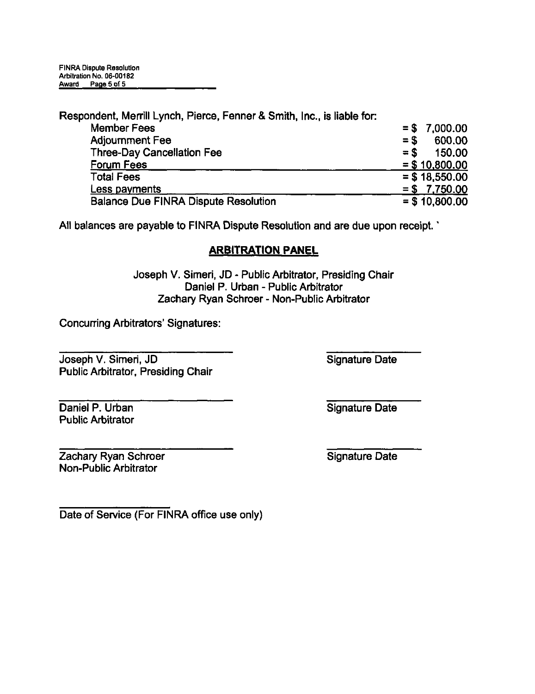Respondent, Merrill Lynch, Pierce, Fenner & Smith, Inc., is liable for:

| <b>Member Fees</b>                          | $= $7,000.00$    |
|---------------------------------------------|------------------|
| <b>Adjournment Fee</b>                      | $=$ \$<br>600.00 |
| <b>Three-Day Cancellation Fee</b>           | $=$ S<br>150.00  |
| <b>Forum Fees</b>                           | $= $10,800.00$   |
| <b>Total Fees</b>                           | $=$ \$ 18,550.00 |
| Less payments                               | $= $7,750.00$    |
| <b>Balance Due FINRA Dispute Resolution</b> | $= $10,800.00$   |

All balances are payable to FINRA Dispute Resolution and are due upon receipt. '

# ARBITRATION PANEL

Joseph V. Simeri, JD - Public Arbitrator, Presiding Chair Daniel P. Urban - Public Arbitrator Zachary Ryan Schroer - Non-Public Arbitrator

Concurring Arbitrators' Signatures:

Joseph V. Simeri, JD Public Arbitrator, Presiding Chair Signature Date

Signature Date

Daniel P. Urban Public Arbitrator

Zachary Ryan Schroer Non-Public Arbitrator

Signature Date

Date of Service (For FINRA office use only)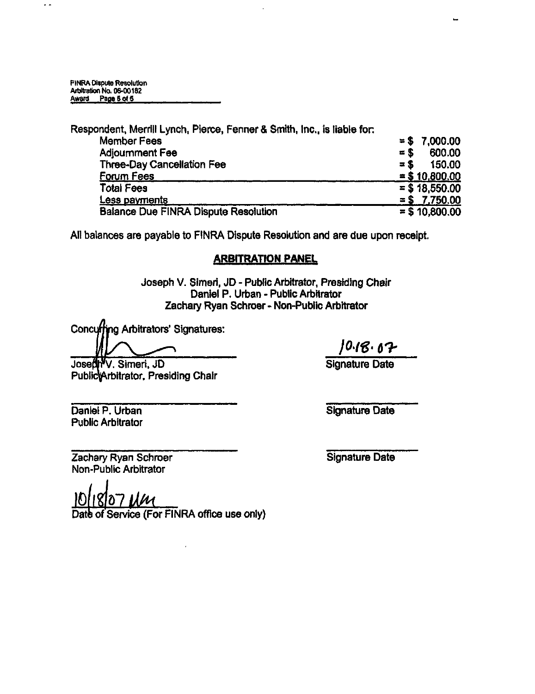$\ddot{\phantom{a}}$ 

Respondent, Merrill Lynch, Pierce, Fenner & Smith, Inc., Is liable for:  $= $$  7,000.00 Adjournment Fee  $\approx$  \$ 600.00 Three-Day Cancellation Fee  $= $ 150.00$ <br>Forum Fees  $= $ 10,800.00$  $= $ 10,800.00$ Total Fees Less pavments  $= $18,550.00$  $=$  \$ 7.750.00<br>= \$ 10,800.00 Balance Due FINRA Dispute Resolution

All balances are payable to FINRA Dispute Resolution and are due upon receipt.

#### ARBITRATION PANEL

Joseph V. Simeri, JD - Public Arbitrator, Presiding Chair Daniel P. Urban - Public Arbitrator Zachary Ryan Schroer - Non-Public Arbitrator

Concufhng Arbitrators' Signatures:

10.18.07

Signature Date

Josedh V. Simeri, JD Public<sup>k</sup>Arbitrator, Presiding Chair

Signature Date

Zachary Ryan Schroer Non-Public Arbitrator

Daniel P. Urban Public Arbitrator

Signature Date

10 118 107 UM

Date of Service (For FINRA office use only)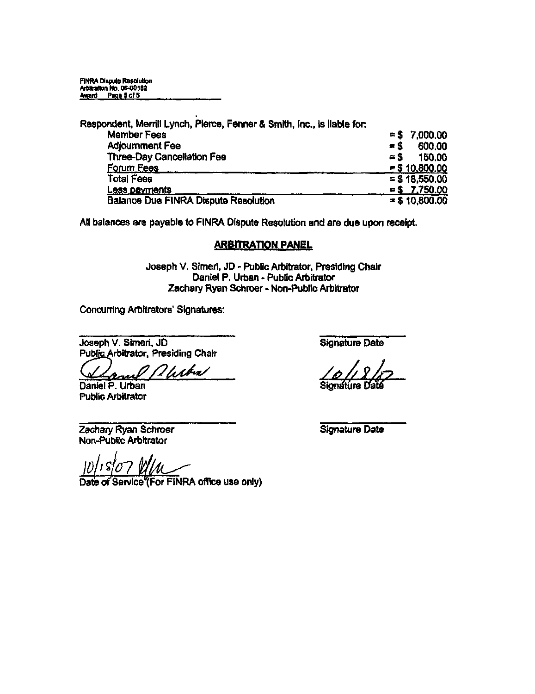| Respondent, Merrill Lynch, Plerce, Fenner & Smith, Inc., is liable for: |                      |
|-------------------------------------------------------------------------|----------------------|
| <b>Member Fees</b>                                                      | 7,000.00<br>$=$ S    |
| <b>Adjournment Fee</b>                                                  | 600.00<br>$=$ \$     |
| Three-Day Cancellation Fee                                              | 150.00<br>$\simeq$ S |
| Forum Fees                                                              | $=$ \$10,800.00      |
| Total Fees                                                              | $=$ \$ 18.550.00     |
| Less payments                                                           | $= $$ 7.750.00       |
| <b>Balance Due FINRA Dispute Resolution</b>                             | $= $10,800.00$       |

All balances are payable to FINRA Dispute Resolution and are due upon receipt.

## ARBITRATION PANEL

Joseph V. SImen, JD - Public Arbitrator, Presiding Chair Daniel P. Urban - Public Arbitrator Zachary Ryan Schroer - Non-Public Arbitrator

Concuning Arbitrators' Signatures:

Joseph V. Simeri, JD Signature Date Public Arbitrator, Presiding Chair

Daniel P. Urban Public Arbitrator

Zachary Ryan Schroer Signature Date Non-Public Arbitrator

Service (For FINRA office use only)

 $\frac{1}{2}\frac{\sqrt{2}}{\sqrt{2}}$